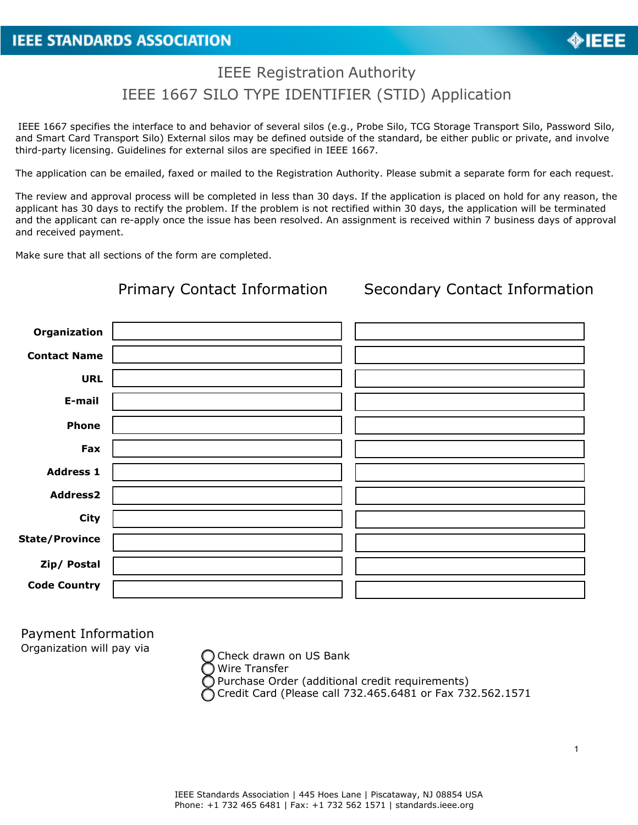## IEEE Registration Authority IEEE 1667 SILO TYPE IDENTIFIER (STID) Application

IEEE 1667 specifies the interface to and behavior of several silos (e.g., Probe Silo, TCG Storage Transport Silo, Password Silo, and Smart Card Transport Silo) External silos may be defined outside of the standard, be either public or private, and involve third-party licensing. Guidelines for external silos are specified in IEEE 1667.

The application can be emailed, faxed or mailed to the Registration Authority. Please submit a separate form for each request.

The review and approval process will be completed in less than 30 days. If the application is placed on hold for any reason, the applicant has 30 days to rectify the problem. If the problem is not rectified within 30 days, the application will be terminated and the applicant can re-apply once the issue has been resolved. An assignment is received within 7 business days of approval and received payment.

Make sure that all sections of the form are completed.

| <b>Primary Contact Information</b> | <b>Secondary Contact Information</b> |
|------------------------------------|--------------------------------------|
|                                    |                                      |
|                                    |                                      |
|                                    |                                      |
|                                    |                                      |
|                                    |                                      |
|                                    |                                      |
|                                    |                                      |
|                                    |                                      |
|                                    |                                      |
|                                    |                                      |
|                                    |                                      |
|                                    |                                      |
|                                    |                                      |

Payment Information Organization will pay via

Check drawn on US Bank Wire Transfer Purchase Order (additional credit requirements) Credit Card (Please call 732.465.6481 or Fax 732.562.1571